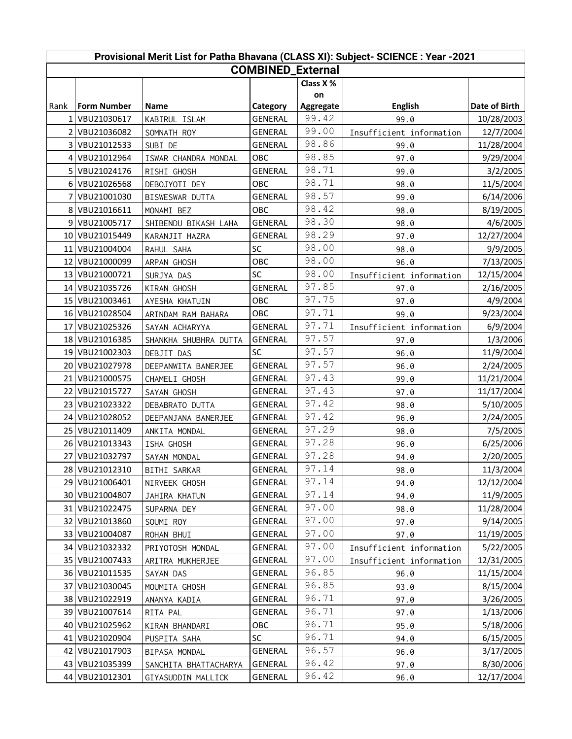| Provisional Merit List for Patha Bhavana (CLASS XI): Subject- SCIENCE : Year -2021 |                    |                       |                |           |                          |               |  |  |
|------------------------------------------------------------------------------------|--------------------|-----------------------|----------------|-----------|--------------------------|---------------|--|--|
| <b>COMBINED_External</b>                                                           |                    |                       |                |           |                          |               |  |  |
|                                                                                    |                    |                       |                | Class X % |                          |               |  |  |
|                                                                                    |                    |                       |                | on        |                          |               |  |  |
| Rank                                                                               | <b>Form Number</b> | Name                  | Category       | Aggregate | <b>English</b>           | Date of Birth |  |  |
| 1                                                                                  | VBU21030617        | KABIRUL ISLAM         | <b>GENERAL</b> | 99.42     | 99.0                     | 10/28/2003    |  |  |
| 2                                                                                  | VBU21036082        | SOMNATH ROY           | GENERAL        | 99.00     | Insufficient information | 12/7/2004     |  |  |
| $\overline{3}$                                                                     | VBU21012533        | SUBI DE               | <b>GENERAL</b> | 98.86     | 99.0                     | 11/28/2004    |  |  |
| 4                                                                                  | VBU21012964        | ISWAR CHANDRA MONDAL  | <b>OBC</b>     | 98.85     | 97.0                     | 9/29/2004     |  |  |
| 5.                                                                                 | VBU21024176        | RISHI GHOSH           | <b>GENERAL</b> | 98.71     | 99.0                     | 3/2/2005      |  |  |
|                                                                                    | 6 VBU21026568      | DEBOJYOTI DEY         | OBC            | 98.71     | 98.0                     | 11/5/2004     |  |  |
|                                                                                    | VBU21001030        | BISWESWAR DUTTA       | <b>GENERAL</b> | 98.57     | 99.0                     | 6/14/2006     |  |  |
|                                                                                    | 8 VBU21016611      | MONAMI BEZ            | OBC            | 98.42     | 98.0                     | 8/19/2005     |  |  |
|                                                                                    | 9 VBU21005717      | SHIBENDU BIKASH LAHA  | GENERAL        | 98.30     | 98.0                     | 4/6/2005      |  |  |
|                                                                                    | 10 VBU21015449     | KARANJIT HAZRA        | <b>GENERAL</b> | 98.29     | 97.0                     | 12/27/2004    |  |  |
| 11                                                                                 | VBU21004004        | RAHUL SAHA            | SC             | 98.00     | 98.0                     | 9/9/2005      |  |  |
|                                                                                    | 12   VBU21000099   | ARPAN GHOSH           | OBC            | 98.00     | 96.0                     | 7/13/2005     |  |  |
| 13                                                                                 | VBU21000721        | SURJYA DAS            | SC             | 98.00     | Insufficient information | 12/15/2004    |  |  |
| 14                                                                                 | VBU21035726        | KIRAN GHOSH           | <b>GENERAL</b> | 97.85     | 97.0                     | 2/16/2005     |  |  |
|                                                                                    | 15 VBU21003461     | AYESHA KHATUIN        | OBC            | 97.75     | 97.0                     | 4/9/2004      |  |  |
|                                                                                    | 16 VBU21028504     | ARINDAM RAM BAHARA    | OBC            | 97.71     | 99.0                     | 9/23/2004     |  |  |
| 17                                                                                 | VBU21025326        | SAYAN ACHARYYA        | <b>GENERAL</b> | 97.71     | Insufficient information | 6/9/2004      |  |  |
|                                                                                    | 18 VBU21016385     | SHANKHA SHUBHRA DUTTA | <b>GENERAL</b> | 97.57     | 97.0                     | 1/3/2006      |  |  |
| 19                                                                                 | VBU21002303        | DEBJIT DAS            | <b>SC</b>      | 97.57     | 96.0                     | 11/9/2004     |  |  |
|                                                                                    | 20 VBU21027978     | DEEPANWITA BANERJEE   | <b>GENERAL</b> | 97.57     | 96.0                     | 2/24/2005     |  |  |
| 21                                                                                 | VBU21000575        | CHAMELI GHOSH         | GENERAL        | 97.43     | 99.0                     | 11/21/2004    |  |  |
| 22                                                                                 | VBU21015727        | SAYAN GHOSH           | GENERAL        | 97.43     | 97.0                     | 11/17/2004    |  |  |
| 23 I                                                                               | VBU21023322        | DEBABRATO DUTTA       | <b>GENERAL</b> | 97.42     | 98.0                     | 5/10/2005     |  |  |
| 24                                                                                 | VBU21028052        | DEEPANJANA BANERJEE   | <b>GENERAL</b> | 97.42     | 96.0                     | 2/24/2005     |  |  |
| 25 I                                                                               | VBU21011409        | ANKITA MONDAL         | GENERAL        | 97.29     | 98.0                     | 7/5/2005      |  |  |
|                                                                                    | 26 VBU21013343     | ISHA GHOSH            | <b>GENERAL</b> | 97.28     | 96.0                     | 6/25/2006     |  |  |
| 27                                                                                 | VBU21032797        | SAYAN MONDAL          | <b>GENERAL</b> | 97.28     | 94.0                     | 2/20/2005     |  |  |
|                                                                                    | 28 VBU21012310     | BITHI SARKAR          | GENERAL        | 97.14     | 98.0                     | 11/3/2004     |  |  |
| 29 I                                                                               | VBU21006401        | NIRVEEK GHOSH         | GENERAL        | 97.14     | 94.0                     | 12/12/2004    |  |  |
| 30                                                                                 | VBU21004807        | JAHIRA KHATUN         | <b>GENERAL</b> | 97.14     | 94.0                     | 11/9/2005     |  |  |
| 31                                                                                 | VBU21022475        | SUPARNA DEY           | <b>GENERAL</b> | 97.00     | 98.0                     | 11/28/2004    |  |  |
| 32 I                                                                               | VBU21013860        | SOUMI ROY             | GENERAL        | 97.00     | 97.0                     | 9/14/2005     |  |  |
| 33                                                                                 | VBU21004087        | ROHAN BHUI            | GENERAL        | 97.00     | 97.0                     | 11/19/2005    |  |  |
| 34 I                                                                               | VBU21032332        | PRIYOTOSH MONDAL      | GENERAL        | 97.00     | Insufficient information | 5/22/2005     |  |  |
| 35 <sub>1</sub>                                                                    | VBU21007433        | ARITRA MUKHERJEE      | <b>GENERAL</b> | 97.00     | Insufficient information | 12/31/2005    |  |  |
| 36                                                                                 | VBU21011535        | SAYAN DAS             | <b>GENERAL</b> | 96.85     | 96.0                     | 11/15/2004    |  |  |
| 37                                                                                 | VBU21030045        | MOUMITA GHOSH         | GENERAL        | 96.85     | 93.0                     | 8/15/2004     |  |  |
| 38                                                                                 | VBU21022919        | ANANYA KADIA          | GENERAL        | 96.71     | 97.0                     | 3/26/2005     |  |  |
| 39                                                                                 | VBU21007614        | RITA PAL              | GENERAL        | 96.71     | 97.0                     | 1/13/2006     |  |  |
| 40                                                                                 | VBU21025962        | KIRAN BHANDARI        | OBC            | 96.71     | 95.0                     | 5/18/2006     |  |  |
| 41                                                                                 | VBU21020904        | PUSPITA SAHA          | SC             | 96.71     | 94.0                     | 6/15/2005     |  |  |
| 42                                                                                 | VBU21017903        | BIPASA MONDAL         | GENERAL        | 96.57     | 96.0                     | 3/17/2005     |  |  |
| 43                                                                                 | VBU21035399        | SANCHITA BHATTACHARYA | GENERAL        | 96.42     | 97.0                     | 8/30/2006     |  |  |
| 44                                                                                 | VBU21012301        | GIYASUDDIN MALLICK    | GENERAL        | 96.42     | 96.0                     | 12/17/2004    |  |  |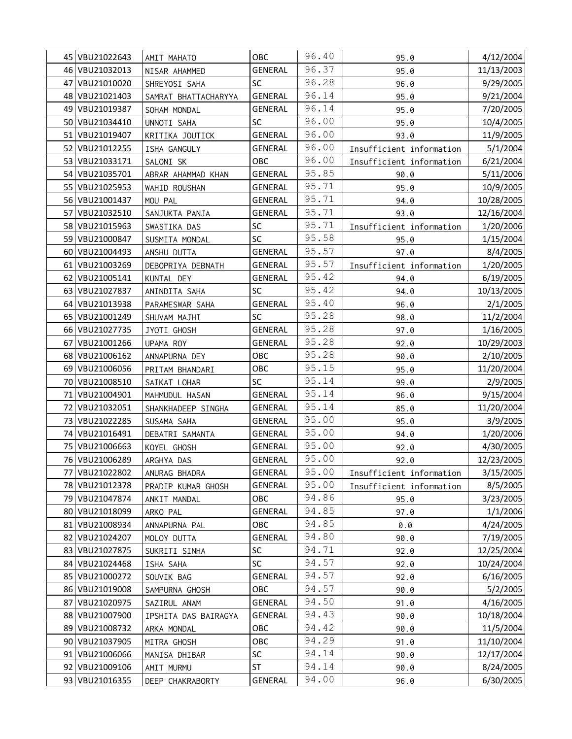|      | 45 VBU21022643 | AMIT MAHATO          | <b>OBC</b>     | 96.40 | 95.0                     | 4/12/2004  |
|------|----------------|----------------------|----------------|-------|--------------------------|------------|
|      | 46 VBU21032013 | NISAR AHAMMED        | <b>GENERAL</b> | 96.37 | 95.0                     | 11/13/2003 |
|      | 47 VBU21010020 | SHREYOSI SAHA        | <b>SC</b>      | 96.28 | 96.0                     | 9/29/2005  |
|      | 48 VBU21021403 | SAMRAT BHATTACHARYYA | <b>GENERAL</b> | 96.14 | 95.0                     | 9/21/2004  |
| 49 l | VBU21019387    | SOHAM MONDAL         | <b>GENERAL</b> | 96.14 | 95.0                     | 7/20/2005  |
|      | 50 VBU21034410 | UNNOTI SAHA          | <b>SC</b>      | 96.00 | 95.0                     | 10/4/2005  |
| 51   | VBU21019407    | KRITIKA JOUTICK      | <b>GENERAL</b> | 96.00 | 93.0                     | 11/9/2005  |
| 52   | VBU21012255    | ISHA GANGULY         | <b>GENERAL</b> | 96.00 | Insufficient information | 5/1/2004   |
| 53 I | VBU21033171    | SALONI SK            | OBC            | 96.00 | Insufficient information | 6/21/2004  |
| 54   | VBU21035701    | ABRAR AHAMMAD KHAN   | <b>GENERAL</b> | 95.85 | 90.0                     | 5/11/2006  |
| 55   | VBU21025953    | WAHID ROUSHAN        | GENERAL        | 95.71 | 95.0                     | 10/9/2005  |
|      | 56 VBU21001437 | MOU PAL              | GENERAL        | 95.71 | 94.0                     | 10/28/2005 |
| 57   | VBU21032510    | SANJUKTA PANJA       | <b>GENERAL</b> | 95.71 | 93.0                     | 12/16/2004 |
| 58   | VBU21015963    | SWASTIKA DAS         | SC             | 95.71 | Insufficient information | 1/20/2006  |
|      | 59 VBU21000847 | SUSMITA MONDAL       | SC             | 95.58 | 95.0                     | 1/15/2004  |
| 60   | VBU21004493    | ANSHU DUTTA          | <b>GENERAL</b> | 95.57 | 97.0                     | 8/4/2005   |
| 61   | VBU21003269    | DEBOPRIYA DEBNATH    | GENERAL        | 95.57 | Insufficient information | 1/20/2005  |
|      | 62 VBU21005141 | KUNTAL DEY           | <b>GENERAL</b> | 95.42 | 94.0                     | 6/19/2005  |
| 63   | VBU21027837    | ANINDITA SAHA        | SC             | 95.42 | 94.0                     | 10/13/2005 |
| 64 I | VBU21013938    | PARAMESWAR SAHA      | <b>GENERAL</b> | 95.40 | 96.0                     | 2/1/2005   |
| 65   | VBU21001249    | SHUVAM MAJHI         | <b>SC</b>      | 95.28 | 98.0                     | 11/2/2004  |
|      | 66 VBU21027735 | JYOTI GHOSH          | GENERAL        | 95.28 | 97.0                     | 1/16/2005  |
| 67   | VBU21001266    | UPAMA ROY            | <b>GENERAL</b> | 95.28 | 92.0                     | 10/29/2003 |
|      | 68 VBU21006162 | ANNAPURNA DEY        | OBC            | 95.28 | 90.0                     | 2/10/2005  |
| 69   | VBU21006056    | PRITAM BHANDARI      | OBC            | 95.15 | 95.0                     | 11/20/2004 |
|      | 70 VBU21008510 | SAIKAT LOHAR         | SC             | 95.14 | 99.0                     | 2/9/2005   |
| 71   | VBU21004901    | MAHMUDUL HASAN       | <b>GENERAL</b> | 95.14 | 96.0                     | 9/15/2004  |
| 72   | VBU21032051    | SHANKHADEEP SINGHA   | GENERAL        | 95.14 | 85.0                     | 11/20/2004 |
| 73   | VBU21022285    | SUSAMA SAHA          | <b>GENERAL</b> | 95.00 | 95.0                     | 3/9/2005   |
| 74   | VBU21016491    | DEBATRI SAMANTA      | GENERAL        | 95.00 | 94.0                     | 1/20/2006  |
| 75   | VBU21006663    | KOYEL GHOSH          | GENERAL        | 95.00 | 92.0                     | 4/30/2005  |
|      | 76 VBU21006289 | ARGHYA DAS           | <b>GENERAL</b> | 95.00 | 92.0                     | 12/23/2005 |
|      | 77 VBU21022802 | ANURAG BHADRA        | <b>GENERAL</b> | 95.00 | Insufficient information | 3/15/2005  |
|      | 78 VBU21012378 | PRADIP KUMAR GHOSH   | <b>GENERAL</b> | 95.00 | Insufficient information | 8/5/2005   |
|      | 79 VBU21047874 | ANKIT MANDAL         | OBC            | 94.86 | 95.0                     | 3/23/2005  |
| 80   | VBU21018099    | ARKO PAL             | <b>GENERAL</b> | 94.85 | 97.0                     | 1/1/2006   |
|      | 81 VBU21008934 | ANNAPURNA PAL        | OBC            | 94.85 | 0.0                      | 4/24/2005  |
| 82   | VBU21024207    | MOLOY DUTTA          | <b>GENERAL</b> | 94.80 | 90.0                     | 7/19/2005  |
| 83   | VBU21027875    | SUKRITI SINHA        | <b>SC</b>      | 94.71 | 92.0                     | 12/25/2004 |
| 84   | VBU21024468    | ISHA SAHA            | SC             | 94.57 | 92.0                     | 10/24/2004 |
|      | 85 VBU21000272 | SOUVIK BAG           | GENERAL        | 94.57 | 92.0                     | 6/16/2005  |
|      | 86 VBU21019008 | SAMPURNA GHOSH       | OBC            | 94.57 | 90.0                     | 5/2/2005   |
| 87   | VBU21020975    | SAZIRUL ANAM         | GENERAL        | 94.50 | 91.0                     | 4/16/2005  |
| 88   | VBU21007900    | IPSHITA DAS BAIRAGYA | <b>GENERAL</b> | 94.43 | 90.0                     | 10/18/2004 |
| 89   | VBU21008732    | ARKA MONDAL          | OBC            | 94.42 | 90.0                     | 11/5/2004  |
| 90   | VBU21037905    | MITRA GHOSH          | OBC            | 94.29 | 91.0                     | 11/10/2004 |
| 91   | VBU21006066    | MANISA DHIBAR        | SC             | 94.14 | 90.0                     | 12/17/2004 |
|      | 92 VBU21009106 | AMIT MURMU           | <b>ST</b>      | 94.14 | 90.0                     | 8/24/2005  |
|      | 93 VBU21016355 | DEEP CHAKRABORTY     | <b>GENERAL</b> | 94.00 | 96.0                     | 6/30/2005  |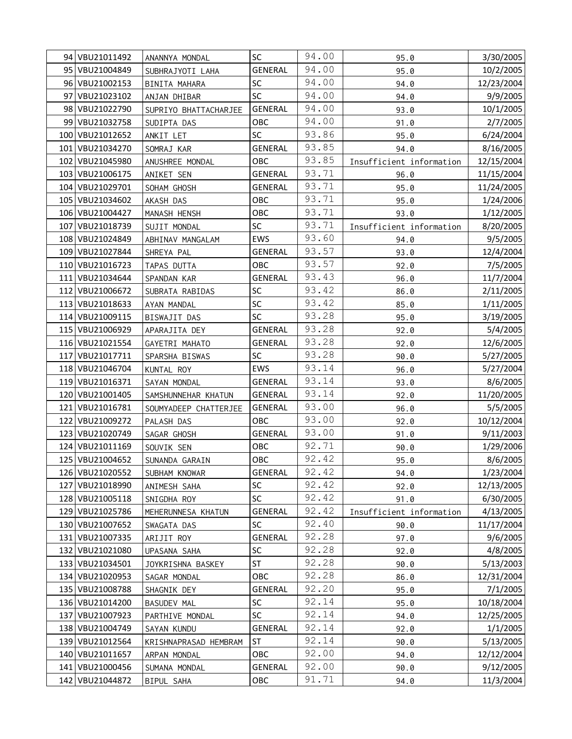|     | 94 VBU21011492  | ANANNYA MONDAL        | <b>SC</b>      | 94.00 | 95.0                     | 3/30/2005  |
|-----|-----------------|-----------------------|----------------|-------|--------------------------|------------|
|     | 95 VBU21004849  | SUBHRAJYOTI LAHA      | <b>GENERAL</b> | 94.00 | 95.0                     | 10/2/2005  |
|     | 96 VBU21002153  | BINITA MAHARA         | SC             | 94.00 | 94.0                     | 12/23/2004 |
| 97  | VBU21023102     | ANJAN DHIBAR          | SC             | 94.00 | 94.0                     | 9/9/2005   |
|     | 98 VBU21022790  | SUPRIYO BHATTACHARJEE | <b>GENERAL</b> | 94.00 | 93.0                     | 10/1/2005  |
|     | 99 VBU21032758  | SUDIPTA DAS           | OBC            | 94.00 | 91.0                     | 2/7/2005   |
|     | 100 VBU21012652 | ANKIT LET             | SC             | 93.86 | 95.0                     | 6/24/2004  |
|     | 101 VBU21034270 | SOMRAJ KAR            | <b>GENERAL</b> | 93.85 | 94.0                     | 8/16/2005  |
|     | 102 VBU21045980 | ANUSHREE MONDAL       | OBC            | 93.85 | Insufficient information | 12/15/2004 |
|     | 103 VBU21006175 | ANIKET SEN            | GENERAL        | 93.71 | 96.0                     | 11/15/2004 |
|     | 104 VBU21029701 | SOHAM GHOSH           | <b>GENERAL</b> | 93.71 | 95.0                     | 11/24/2005 |
|     | 105 VBU21034602 | AKASH DAS             | OBC            | 93.71 | 95.0                     | 1/24/2006  |
|     | 106 VBU21004427 | MANASH HENSH          | OBC            | 93.71 | 93.0                     | 1/12/2005  |
| 107 | VBU21018739     | SUJIT MONDAL          | SC             | 93.71 | Insufficient information | 8/20/2005  |
|     | 108 VBU21024849 | ABHINAV MANGALAM      | EWS            | 93.60 | 94.0                     | 9/5/2005   |
|     | 109 VBU21027844 | SHREYA PAL            | GENERAL        | 93.57 | 93.0                     | 12/4/2004  |
|     | 110 VBU21016723 | TAPAS DUTTA           | OBC            | 93.57 | 92.0                     | 7/5/2005   |
|     | 111 VBU21034644 | SPANDAN KAR           | GENERAL        | 93.43 | 96.0                     | 11/7/2004  |
|     | 112 VBU21006672 | SUBRATA RABIDAS       | SC             | 93.42 | 86.0                     | 2/11/2005  |
|     | 113 VBU21018633 | AYAN MANDAL           | SC             | 93.42 | 85.0                     | 1/11/2005  |
|     | 114 VBU21009115 | BISWAJIT DAS          | SC             | 93.28 | 95.0                     | 3/19/2005  |
|     | 115 VBU21006929 | APARAJITA DEY         | <b>GENERAL</b> | 93.28 | 92.0                     | 5/4/2005   |
|     | 116 VBU21021554 | GAYETRI MAHATO        | GENERAL        | 93.28 | 92.0                     | 12/6/2005  |
|     | 117 VBU21017711 | SPARSHA BISWAS        | SC             | 93.28 | 90.0                     | 5/27/2005  |
|     | 118 VBU21046704 | KUNTAL ROY            | EWS            | 93.14 | 96.0                     | 5/27/2004  |
|     | 119 VBU21016371 | SAYAN MONDAL          | GENERAL        | 93.14 | 93.0                     | 8/6/2005   |
|     | 120 VBU21001405 | SAMSHUNNEHAR KHATUN   | GENERAL        | 93.14 | 92.0                     | 11/20/2005 |
| 121 | VBU21016781     | SOUMYADEEP CHATTERJEE | GENERAL        | 93.00 | 96.0                     | 5/5/2005   |
|     | 122 VBU21009272 | PALASH DAS            | OBC            | 93.00 | 92.0                     | 10/12/2004 |
|     | 123 VBU21020749 | SAGAR GHOSH           | <b>GENERAL</b> | 93.00 | 91.0                     | 9/11/2003  |
|     | 124 VBU21011169 | SOUVIK SEN            | OBC            | 92.71 | 90.0                     | 1/29/2006  |
|     | 125 VBU21004652 | SUNANDA GARAIN        | OBC            | 92.42 | 95.0                     | 8/6/2005   |
|     | 126 VBU21020552 | SUBHAM KNOWAR         | <b>GENERAL</b> | 92.42 | 94.0                     | 1/23/2004  |
| 127 | VBU21018990     | ANIMESH SAHA          | SC             | 92.42 | 92.0                     | 12/13/2005 |
|     | 128 VBU21005118 | SNIGDHA ROY           | SC             | 92.42 | 91.0                     | 6/30/2005  |
|     | 129 VBU21025786 | MEHERUNNESA KHATUN    | <b>GENERAL</b> | 92.42 | Insufficient information | 4/13/2005  |
|     | 130 VBU21007652 | SWAGATA DAS           | SC             | 92.40 | 90.0                     | 11/17/2004 |
|     | 131 VBU21007335 | ARIJIT ROY            | <b>GENERAL</b> | 92.28 | 97.0                     | 9/6/2005   |
| 132 | VBU21021080     | UPASANA SAHA          | SC             | 92.28 | 92.0                     | 4/8/2005   |
|     | 133 VBU21034501 | JOYKRISHNA BASKEY     | <b>ST</b>      | 92.28 | 90.0                     | 5/13/2003  |
|     | 134 VBU21020953 | SAGAR MONDAL          | OBC            | 92.28 | 86.0                     | 12/31/2004 |
|     | 135 VBU21008788 | SHAGNIK DEY           | <b>GENERAL</b> | 92.20 | 95.0                     | 7/1/2005   |
|     | 136 VBU21014200 | <b>BASUDEV MAL</b>    | SC             | 92.14 | 95.0                     | 10/18/2004 |
| 137 | VBU21007923     | PARTHIVE MONDAL       | SC             | 92.14 | 94.0                     | 12/25/2005 |
|     | 138 VBU21004749 | SAYAN KUNDU           | <b>GENERAL</b> | 92.14 | 92.0                     | 1/1/2005   |
|     | 139 VBU21012564 | KRISHNAPRASAD HEMBRAM | ST             | 92.14 | 90.0                     | 5/13/2005  |
|     | 140 VBU21011657 | ARPAN MONDAL          | OBC            | 92.00 | 94.0                     | 12/12/2004 |
|     | 141 VBU21000456 | SUMANA MONDAL         | GENERAL        | 92.00 | 90.0                     | 9/12/2005  |
|     | 142 VBU21044872 | BIPUL SAHA            | OBC            | 91.71 | 94.0                     | 11/3/2004  |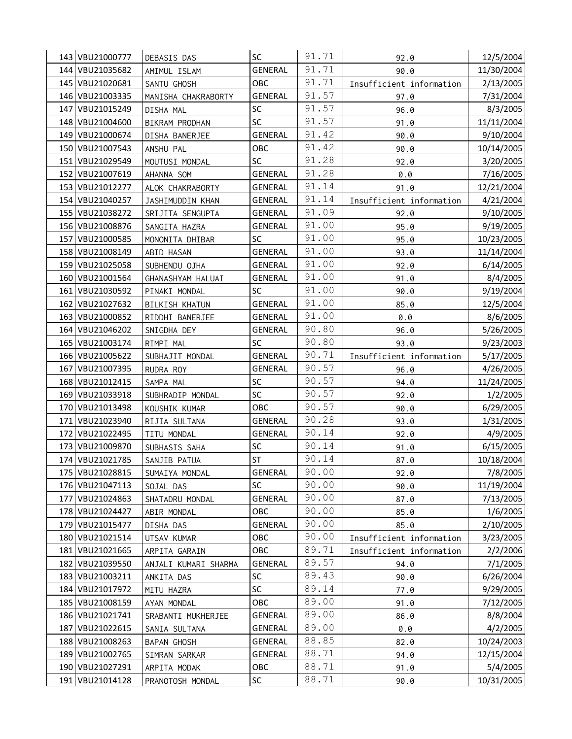|     | 143 VBU21000777 | DEBASIS DAS          | SC             | 91.71 | 92.0                      | 12/5/2004  |
|-----|-----------------|----------------------|----------------|-------|---------------------------|------------|
|     | 144 VBU21035682 | AMIMUL ISLAM         | <b>GENERAL</b> | 91.71 | 90.0                      | 11/30/2004 |
|     | 145 VBU21020681 | SANTU GHOSH          | OBC            | 91.71 | Insufficient information  | 2/13/2005  |
|     | 146 VBU21003335 | MANISHA CHAKRABORTY  | <b>GENERAL</b> | 91.57 | 97.0                      | 7/31/2004  |
| 147 | VBU21015249     | DISHA MAL            | SC             | 91.57 | 96.0                      | 8/3/2005   |
|     | 148 VBU21004600 | BIKRAM PRODHAN       | SC             | 91.57 | 91.0                      | 11/11/2004 |
|     | 149 VBU21000674 | DISHA BANERJEE       | <b>GENERAL</b> | 91.42 | 90.0                      | 9/10/2004  |
|     | 150 VBU21007543 | ANSHU PAL            | OBC            | 91.42 | 90.0                      | 10/14/2005 |
|     | 151 VBU21029549 | MOUTUSI MONDAL       | SC             | 91.28 | 92.0                      | 3/20/2005  |
|     | 152 VBU21007619 | AHANNA SOM           | <b>GENERAL</b> | 91.28 | $\emptyset$ . $\emptyset$ | 7/16/2005  |
|     | 153 VBU21012277 | ALOK CHAKRABORTY     | <b>GENERAL</b> | 91.14 | 91.0                      | 12/21/2004 |
|     | 154 VBU21040257 | JASHIMUDDIN KHAN     | GENERAL        | 91.14 | Insufficient information  | 4/21/2004  |
|     | 155 VBU21038272 | SRIJITA SENGUPTA     | GENERAL        | 91.09 | 92.0                      | 9/10/2005  |
|     | 156 VBU21008876 | SANGITA HAZRA        | <b>GENERAL</b> | 91.00 | 95.0                      | 9/19/2005  |
| 157 | VBU21000585     | MONONITA DHIBAR      | SC             | 91.00 | 95.0                      | 10/23/2005 |
|     | 158 VBU21008149 | ABID HASAN           | <b>GENERAL</b> | 91.00 | 93.0                      | 11/14/2004 |
|     | 159 VBU21025058 | SUBHENDU OJHA        | GENERAL        | 91.00 | 92.0                      | 6/14/2005  |
|     | 160 VBU21001564 | GHANASHYAM HALUAI    | GENERAL        | 91.00 | 91.0                      | 8/4/2005   |
| 161 | VBU21030592     | PINAKI MONDAL        | SC             | 91.00 | 90.0                      | 9/19/2004  |
|     | 162 VBU21027632 | BILKISH KHATUN       | GENERAL        | 91.00 | 85.0                      | 12/5/2004  |
|     | 163 VBU21000852 | RIDDHI BANERJEE      | GENERAL        | 91.00 | 0.0                       | 8/6/2005   |
|     | 164 VBU21046202 | SNIGDHA DEY          | <b>GENERAL</b> | 90.80 | 96.0                      | 5/26/2005  |
|     | 165 VBU21003174 | RIMPI MAL            | <b>SC</b>      | 90.80 | 93.0                      | 9/23/2003  |
|     | 166 VBU21005622 | SUBHAJIT MONDAL      | <b>GENERAL</b> | 90.71 | Insufficient information  | 5/17/2005  |
| 167 | VBU21007395     | RUDRA ROY            | GENERAL        | 90.57 | 96.0                      | 4/26/2005  |
|     | 168 VBU21012415 | SAMPA MAL            | SC             | 90.57 | 94.0                      | 11/24/2005 |
|     | 169 VBU21033918 | SUBHRADIP MONDAL     | SC             | 90.57 | 92.0                      | 1/2/2005   |
|     | 170 VBU21013498 | KOUSHIK KUMAR        | OBC            | 90.57 | 90.0                      | 6/29/2005  |
| 171 | VBU21023940     | RIJIA SULTANA        | <b>GENERAL</b> | 90.28 | 93.0                      | 1/31/2005  |
| 172 | VBU21022495     | TITU MONDAL          | <b>GENERAL</b> | 90.14 | 92.0                      | 4/9/2005   |
|     | 173 VBU21009870 | SUBHASIS SAHA        | SC             | 90.14 | 91.0                      | 6/15/2005  |
|     | 174 VBU21021785 | SANJIB PATUA         | ST             | 90.14 | 87.0                      | 10/18/2004 |
|     | 175 VBU21028815 | SUMAIYA MONDAL       | <b>GENERAL</b> | 90.00 | 92.0                      | 7/8/2005   |
|     | 176 VBU21047113 | SOJAL DAS            | SC             | 90.00 | 90.0                      | 11/19/2004 |
|     | 177 VBU21024863 | SHATADRU MONDAL      | <b>GENERAL</b> | 90.00 | 87.0                      | 7/13/2005  |
|     | 178 VBU21024427 | ABIR MONDAL          | OBC            | 90.00 | 85.0                      | 1/6/2005   |
|     | 179 VBU21015477 | DISHA DAS            | <b>GENERAL</b> | 90.00 | 85.0                      | 2/10/2005  |
|     | 180 VBU21021514 | UTSAV KUMAR          | ОВС            | 90.00 | Insufficient information  | 3/23/2005  |
| 181 | VBU21021665     | ARPITA GARAIN        | OBC            | 89.71 | Insufficient information  | 2/2/2006   |
|     | 182 VBU21039550 | ANJALI KUMARI SHARMA | <b>GENERAL</b> | 89.57 | 94.0                      | 7/1/2005   |
|     | 183 VBU21003211 | ANKITA DAS           | SC             | 89.43 | 90.0                      | 6/26/2004  |
|     | 184 VBU21017972 | MITU HAZRA           | SC             | 89.14 | 77.0                      | 9/29/2005  |
|     | 185 VBU21008159 | AYAN MONDAL          | OBC            | 89.00 | 91.0                      | 7/12/2005  |
|     | 186 VBU21021741 | SRABANTI MUKHERJEE   | GENERAL        | 89.00 | 86.0                      | 8/8/2004   |
| 187 | VBU21022615     | SANIA SULTANA        | <b>GENERAL</b> | 89.00 | 0.0                       | 4/2/2005   |
|     | 188 VBU21008263 | <b>BAPAN GHOSH</b>   | <b>GENERAL</b> | 88.85 | 82.0                      | 10/24/2003 |
|     | 189 VBU21002765 | SIMRAN SARKAR        | <b>GENERAL</b> | 88.71 | 94.0                      | 12/15/2004 |
|     | 190 VBU21027291 | ARPITA MODAK         | OBC            | 88.71 | 91.0                      | 5/4/2005   |
|     | 191 VBU21014128 | PRANOTOSH MONDAL     | SC             | 88.71 | 90.0                      | 10/31/2005 |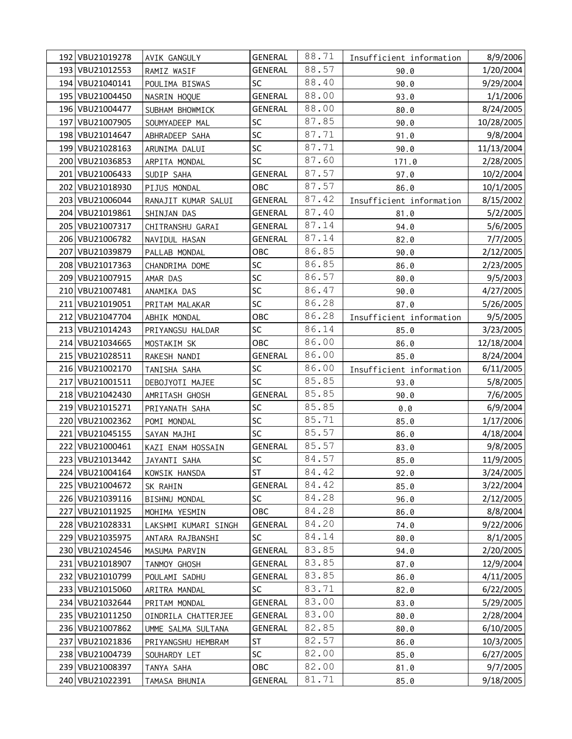|     | 192 VBU21019278   | AVIK GANGULY         | GENERAL        | 88.71 | Insufficient information | 8/9/2006   |
|-----|-------------------|----------------------|----------------|-------|--------------------------|------------|
|     | 193 VBU21012553   | RAMIZ WASIF          | <b>GENERAL</b> | 88.57 | 90.0                     | 1/20/2004  |
|     | 194 VBU21040141   | POULIMA BISWAS       | SC             | 88.40 | 90.0                     | 9/29/2004  |
|     | 195   VBU21004450 | NASRIN HOQUE         | <b>GENERAL</b> | 88.00 | 93.0                     | 1/1/2006   |
|     | 196 VBU21004477   | SUBHAM BHOWMICK      | <b>GENERAL</b> | 88.00 | 80.0                     | 8/24/2005  |
|     | 197 VBU21007905   | SOUMYADEEP MAL       | SC             | 87.85 | 90.0                     | 10/28/2005 |
|     | 198 VBU21014647   | ABHRADEEP SAHA       | SC             | 87.71 | 91.0                     | 9/8/2004   |
|     | 199 VBU21028163   | ARUNIMA DALUI        | SC             | 87.71 | 90.0                     | 11/13/2004 |
|     | 200 VBU21036853   | ARPITA MONDAL        | SC             | 87.60 | 171.0                    | 2/28/2005  |
|     | 201   VBU21006433 | SUDIP SAHA           | <b>GENERAL</b> | 87.57 | 97.0                     | 10/2/2004  |
| 202 | VBU21018930       | PIJUS MONDAL         | OBC            | 87.57 | 86.0                     | 10/1/2005  |
|     | 203 VBU21006044   | RANAJIT KUMAR SALUI  | GENERAL        | 87.42 | Insufficient information | 8/15/2002  |
|     | 204 VBU21019861   | SHINJAN DAS          | GENERAL        | 87.40 | 81.0                     | 5/2/2005   |
|     | 205 VBU21007317   | CHITRANSHU GARAI     | GENERAL        | 87.14 | 94.0                     | 5/6/2005   |
|     | 206 VBU21006782   | NAVIDUL HASAN        | GENERAL        | 87.14 | 82.0                     | 7/7/2005   |
| 207 | VBU21039879       | PALLAB MONDAL        | OBC            | 86.85 | 90.0                     | 2/12/2005  |
|     | 208 VBU21017363   | CHANDRIMA DOME       | SC             | 86.85 | 86.0                     | 2/23/2005  |
|     | 209 VBU21007915   | AMAR DAS             | SC             | 86.57 | 80.0                     | 9/5/2003   |
|     | 210 VBU21007481   | ANAMIKA DAS          | SC             | 86.47 | 90.0                     | 4/27/2005  |
|     | 211 VBU21019051   | PRITAM MALAKAR       | SC             | 86.28 | 87.0                     | 5/26/2005  |
|     | 212 VBU21047704   | ABHIK MONDAL         | OBC            | 86.28 | Insufficient information | 9/5/2005   |
|     | 213 VBU21014243   | PRIYANGSU HALDAR     | SC             | 86.14 | 85.0                     | 3/23/2005  |
|     | 214 VBU21034665   | MOSTAKIM SK          | OBC            | 86.00 | 86.0                     | 12/18/2004 |
|     | 215 VBU21028511   | RAKESH NANDI         | <b>GENERAL</b> | 86.00 | 85.0                     | 8/24/2004  |
|     | 216 VBU21002170   | TANISHA SAHA         | SC             | 86.00 | Insufficient information | 6/11/2005  |
| 217 | VBU21001511       | DEBOJYOTI MAJEE      | SC             | 85.85 | 93.0                     | 5/8/2005   |
|     | 218 VBU21042430   | AMRITASH GHOSH       | <b>GENERAL</b> | 85.85 | 90.0                     | 7/6/2005   |
|     | 219 VBU21015271   | PRIYANATH SAHA       | SC             | 85.85 | 0.0                      | 6/9/2004   |
|     | 220 VBU21002362   | POMI MONDAL          | SC             | 85.71 | 85.0                     | 1/17/2006  |
| 221 | VBU21045155       | SAYAN MAJHI          | SC             | 85.57 | 86.0                     | 4/18/2004  |
|     | 222 VBU21000461   | KAZI ENAM HOSSAIN    | GENERAL        | 85.57 | 83.0                     | 9/8/2005   |
|     | 223 VBU21013442   | JAYANTI SAHA         | SC             | 84.57 | 85.0                     | 11/9/2005  |
|     | 224 VBU21004164   | KOWSIK HANSDA        | <b>ST</b>      | 84.42 | 92.0                     | 3/24/2005  |
|     | 225 VBU21004672   | SK RAHIN             | GENERAL        | 84.42 | 85.0                     | 3/22/2004  |
|     | 226 VBU21039116   | BISHNU MONDAL        | SC             | 84.28 | 96.0                     | 2/12/2005  |
| 227 | VBU21011925       | MOHIMA YESMIN        | OBC            | 84.28 | 86.0                     | 8/8/2004   |
|     | 228 VBU21028331   | LAKSHMI KUMARI SINGH | GENERAL        | 84.20 | 74.0                     | 9/22/2006  |
|     | 229 VBU21035975   | ANTARA RAJBANSHI     | SC             | 84.14 | 80.0                     | 8/1/2005   |
|     | 230 VBU21024546   | MASUMA PARVIN        | GENERAL        | 83.85 | 94.0                     | 2/20/2005  |
|     | 231 VBU21018907   | TANMOY GHOSH         | <b>GENERAL</b> | 83.85 | 87.0                     | 12/9/2004  |
|     | 232 VBU21010799   | POULAMI SADHU        | GENERAL        | 83.85 | 86.0                     | 4/11/2005  |
|     | 233 VBU21015060   | ARITRA MANDAL        | SC             | 83.71 | 82.0                     | 6/22/2005  |
|     | 234 VBU21032644   | PRITAM MONDAL        | GENERAL        | 83.00 | 83.0                     | 5/29/2005  |
|     | 235 VBU21011250   | OINDRILA CHATTERJEE  | GENERAL        | 83.00 | 80.0                     | 2/28/2004  |
|     | 236 VBU21007862   | UMME SALMA SULTANA   | <b>GENERAL</b> | 82.85 | 80.0                     | 6/10/2005  |
| 237 | VBU21021836       | PRIYANGSHU HEMBRAM   | ST             | 82.57 | 86.0                     | 10/3/2005  |
|     | 238 VBU21004739   | SOUHARDY LET         | SC             | 82.00 | 85.0                     | 6/27/2005  |
|     | 239 VBU21008397   | TANYA SAHA           | <b>OBC</b>     | 82.00 | 81.0                     | 9/7/2005   |
|     | 240 VBU21022391   | TAMASA BHUNIA        | GENERAL        | 81.71 | 85.0                     | 9/18/2005  |